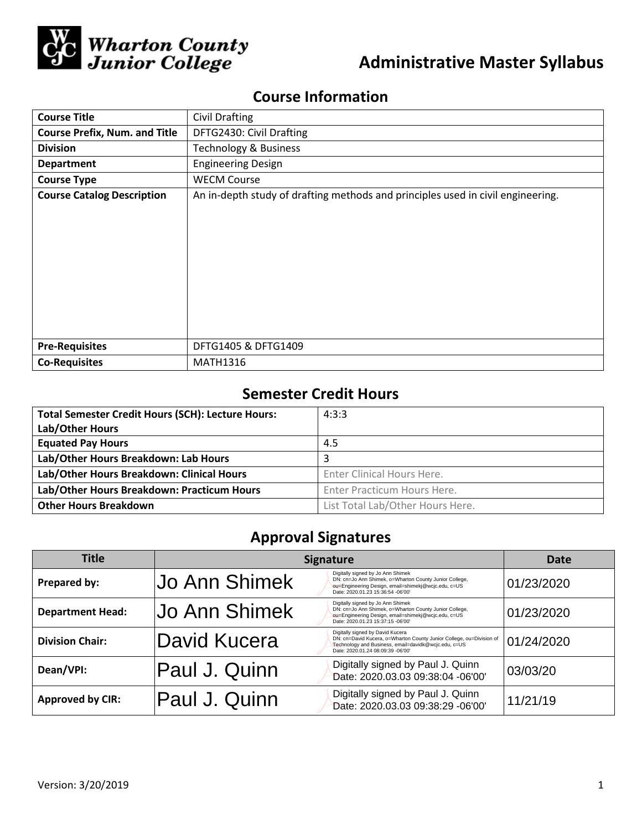

# **Administrative Master Syllabus**

## **Course Information**

| <b>Course Title</b>                  | <b>Civil Drafting</b>                                                           |  |  |  |
|--------------------------------------|---------------------------------------------------------------------------------|--|--|--|
| <b>Course Prefix, Num. and Title</b> | DFTG2430: Civil Drafting                                                        |  |  |  |
| <b>Division</b>                      | <b>Technology &amp; Business</b>                                                |  |  |  |
| <b>Department</b>                    | <b>Engineering Design</b>                                                       |  |  |  |
| <b>Course Type</b>                   | <b>WECM Course</b>                                                              |  |  |  |
| <b>Course Catalog Description</b>    | An in-depth study of drafting methods and principles used in civil engineering. |  |  |  |
|                                      |                                                                                 |  |  |  |
|                                      |                                                                                 |  |  |  |
|                                      |                                                                                 |  |  |  |
|                                      |                                                                                 |  |  |  |
|                                      |                                                                                 |  |  |  |
|                                      |                                                                                 |  |  |  |
|                                      |                                                                                 |  |  |  |
|                                      |                                                                                 |  |  |  |
| <b>Pre-Requisites</b>                | DFTG1405 & DFTG1409                                                             |  |  |  |
| <b>Co-Requisites</b>                 | <b>MATH1316</b>                                                                 |  |  |  |

## **Semester Credit Hours**

| <b>Total Semester Credit Hours (SCH): Lecture Hours:</b> | 4:3:3                            |
|----------------------------------------------------------|----------------------------------|
| Lab/Other Hours                                          |                                  |
| <b>Equated Pay Hours</b>                                 | 4.5                              |
| Lab/Other Hours Breakdown: Lab Hours                     | 3                                |
| Lab/Other Hours Breakdown: Clinical Hours                | Enter Clinical Hours Here.       |
| Lab/Other Hours Breakdown: Practicum Hours               | Enter Practicum Hours Here.      |
| <b>Other Hours Breakdown</b>                             | List Total Lab/Other Hours Here. |

## **Approval Signatures**

| Title                   | <b>Signature</b>     |                                                                                                                                                                                                       | Date       |
|-------------------------|----------------------|-------------------------------------------------------------------------------------------------------------------------------------------------------------------------------------------------------|------------|
| Prepared by:            | Jo Ann Shimek        | Digitally signed by Jo Ann Shimek<br>DN: cn=Jo Ann Shimek, o=Wharton County Junior College,<br>ou=Engineering Design, email=shimekj@wcjc.edu, c=US<br>Date: 2020.01.23 15:36:54 -06'00'               | 01/23/2020 |
| <b>Department Head:</b> | <b>Jo Ann Shimek</b> | Digitally signed by Jo Ann Shimek<br>DN: cn=Jo Ann Shimek, o=Wharton County Junior College,<br>ou=Engineering Design, email=shimekj@wcjc.edu, c=US<br>Date: 2020.01.23 15:37:15 -06'00'               | 01/23/2020 |
| <b>Division Chair:</b>  | lDavid Kucera        | Digitally signed by David Kucera<br>DN: cn=David Kucera, o=Wharton County Junior College, ou=Division of<br>Technology and Business, email=davidk@wcjc.edu, c=US<br>Date: 2020.01.24 08:09:39 -06'00' | 01/24/2020 |
| Dean/VPI:               | Paul J. Quinn        | Digitally signed by Paul J. Quinn<br>Date: 2020.03.03 09:38:04 -06'00'                                                                                                                                | 03/03/20   |
| <b>Approved by CIR:</b> | Paul J. Quinn        | Digitally signed by Paul J. Quinn<br>Date: 2020.03.03 09:38:29 -06'00'                                                                                                                                | 11/21/19   |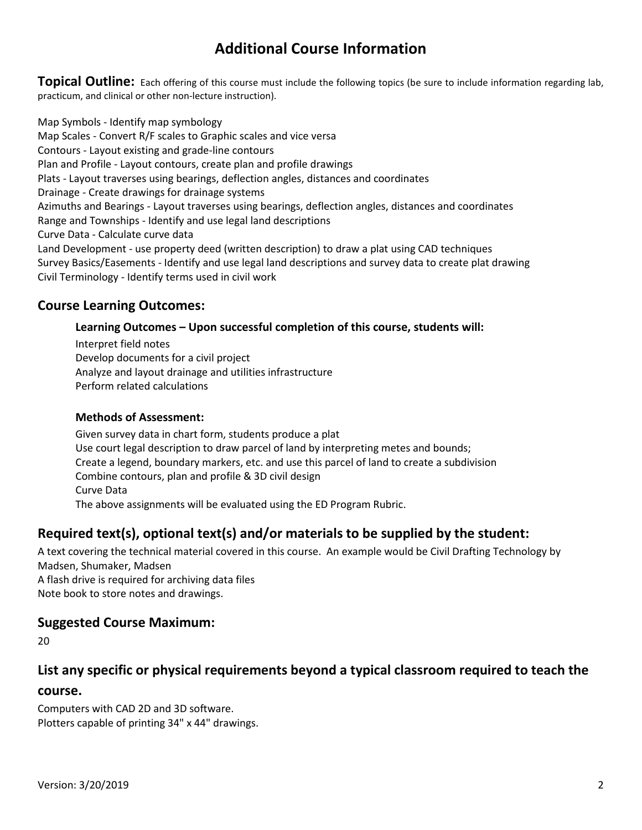## **Additional Course Information**

**Topical Outline:** Each offering of this course must include the following topics (be sure to include information regarding lab, practicum, and clinical or other non-lecture instruction).

Map Symbols - Identify map symbology Map Scales - Convert R/F scales to Graphic scales and vice versa Contours - Layout existing and grade-line contours Plan and Profile - Layout contours, create plan and profile drawings Plats - Layout traverses using bearings, deflection angles, distances and coordinates Drainage - Create drawings for drainage systems Azimuths and Bearings - Layout traverses using bearings, deflection angles, distances and coordinates Range and Townships - Identify and use legal land descriptions Curve Data - Calculate curve data Land Development - use property deed (written description) to draw a plat using CAD techniques Survey Basics/Easements - Identify and use legal land descriptions and survey data to create plat drawing Civil Terminology - Identify terms used in civil work

### **Course Learning Outcomes:**

#### **Learning Outcomes – Upon successful completion of this course, students will:**

Interpret field notes Develop documents for a civil project Analyze and layout drainage and utilities infrastructure Perform related calculations

#### **Methods of Assessment:**

Given survey data in chart form, students produce a plat Use court legal description to draw parcel of land by interpreting metes and bounds; Create a legend, boundary markers, etc. and use this parcel of land to create a subdivision Combine contours, plan and profile & 3D civil design Curve Data The above assignments will be evaluated using the ED Program Rubric.

## **Required text(s), optional text(s) and/or materials to be supplied by the student:**

A text covering the technical material covered in this course. An example would be Civil Drafting Technology by Madsen, Shumaker, Madsen A flash drive is required for archiving data files

Note book to store notes and drawings.

### **Suggested Course Maximum:**

20

### **List any specific or physical requirements beyond a typical classroom required to teach the**

#### **course.**

Computers with CAD 2D and 3D software. Plotters capable of printing 34" x 44" drawings.